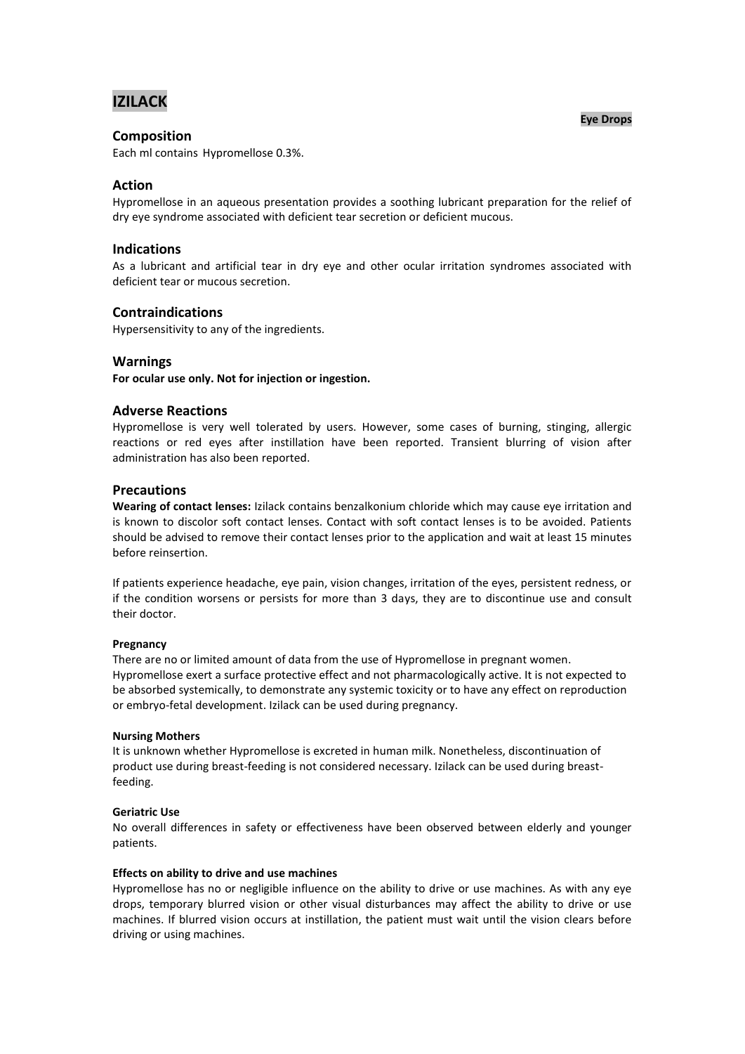# **IZILACK**

### **Composition**

Each ml contains Hypromellose 0.3%.

### **Action**

Hypromellose in an aqueous presentation provides a soothing lubricant preparation for the relief of dry eye syndrome associated with deficient tear secretion or deficient mucous.

### **Indications**

As a lubricant and artificial tear in dry eye and other ocular irritation syndromes associated with deficient tear or mucous secretion.

### **Contraindications**

Hypersensitivity to any of the ingredients.

### **Warnings**

**For ocular use only. Not for injection or ingestion.**

### **Adverse Reactions**

Hypromellose is very well tolerated by users. However, some cases of burning, stinging, allergic reactions or red eyes after instillation have been reported. Transient blurring of vision after administration has also been reported.

### **Precautions**

**Wearing of contact lenses:** Izilack contains benzalkonium chloride which may cause eye irritation and is known to discolor soft contact lenses. Contact with soft contact lenses is to be avoided. Patients should be advised to remove their contact lenses prior to the application and wait at least 15 minutes before reinsertion.

If patients experience headache, eye pain, vision changes, irritation of the eyes, persistent redness, or if the condition worsens or persists for more than 3 days, they are to discontinue use and consult their doctor.

#### **Pregnancy**

There are no or limited amount of data from the use of Hypromellose in pregnant women. Hypromellose exert a surface protective effect and not pharmacologically active. It is not expected to be absorbed systemically, to demonstrate any systemic toxicity or to have any effect on reproduction or embryo-fetal development. Izilack can be used during pregnancy.

#### **Nursing Mothers**

It is unknown whether Hypromellose is excreted in human milk. Nonetheless, discontinuation of product use during breast-feeding is not considered necessary. Izilack can be used during breastfeeding.

### **Geriatric Use**

No overall differences in safety or effectiveness have been observed between elderly and younger patients.

#### **Effects on ability to drive and use machines**

Hypromellose has no or negligible influence on the ability to drive or use machines. As with any eye drops, temporary blurred vision or other visual disturbances may affect the ability to drive or use machines. If blurred vision occurs at instillation, the patient must wait until the vision clears before driving or using machines.

#### **Eye Drops**